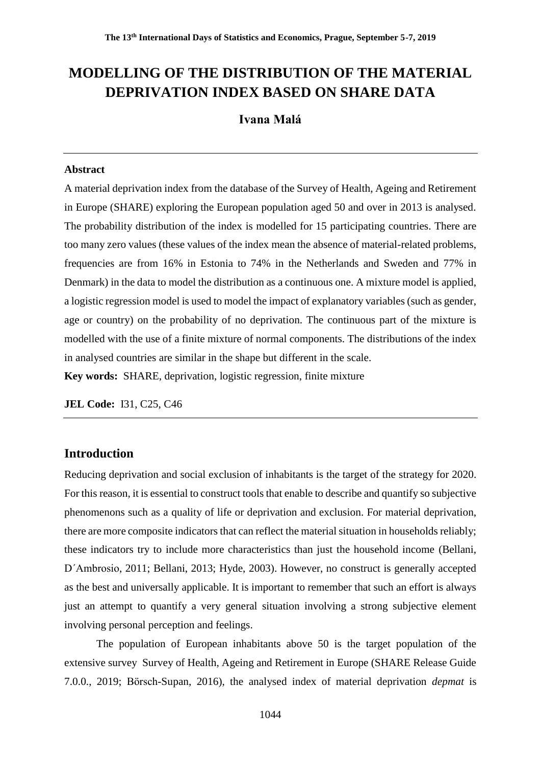# **MODELLING OF THE DISTRIBUTION OF THE MATERIAL DEPRIVATION INDEX BASED ON SHARE DATA**

# **Ivana Malá**

### **Abstract**

A material deprivation index from the database of the Survey of Health, Ageing and Retirement in Europe (SHARE) exploring the European population aged 50 and over in 2013 is analysed. The probability distribution of the index is modelled for 15 participating countries. There are too many zero values (these values of the index mean the absence of material-related problems, frequencies are from 16% in Estonia to 74% in the Netherlands and Sweden and 77% in Denmark) in the data to model the distribution as a continuous one. A mixture model is applied, a logistic regression model is used to model the impact of explanatory variables (such as gender, age or country) on the probability of no deprivation. The continuous part of the mixture is modelled with the use of a finite mixture of normal components. The distributions of the index in analysed countries are similar in the shape but different in the scale.

**Key words:** SHARE, deprivation, logistic regression, finite mixture

**JEL Code:** I31, C25, C46

# **Introduction**

Reducing deprivation and social exclusion of inhabitants is the target of the strategy for 2020. For this reason, it is essential to construct tools that enable to describe and quantify so subjective phenomenons such as a quality of life or deprivation and exclusion. For material deprivation, there are more composite indicators that can reflect the material situation in households reliably; these indicators try to include more characteristics than just the household income (Bellani, D´Ambrosio, 2011; Bellani, 2013; Hyde, 2003). However, no construct is generally accepted as the best and universally applicable. It is important to remember that such an effort is always just an attempt to quantify a very general situation involving a strong subjective element involving personal perception and feelings.

The population of European inhabitants above 50 is the target population of the extensive survey Survey of Health, Ageing and Retirement in Europe (SHARE Release Guide 7.0.0., 2019; Börsch-Supan, 2016), the analysed index of material deprivation *depmat* is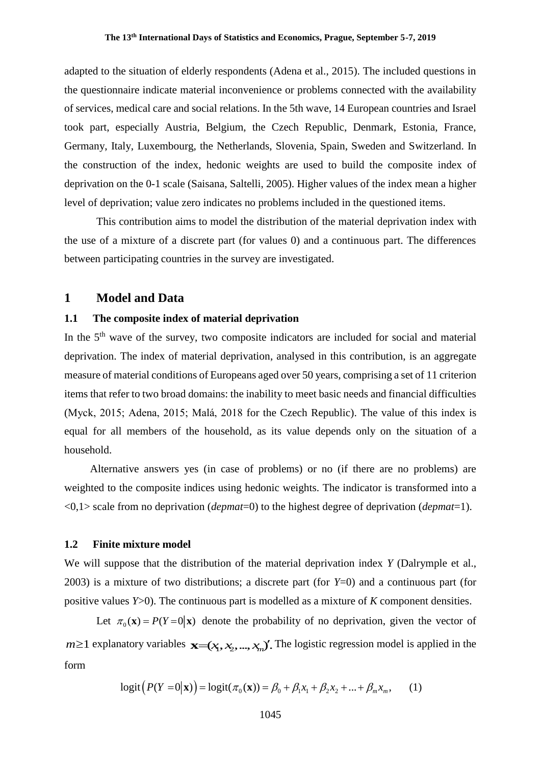adapted to the situation of elderly respondents (Adena et al., 2015). The included questions in the questionnaire indicate material inconvenience or problems connected with the availability of services, medical care and social relations. In the 5th wave, 14 European countries and Israel took part, especially Austria, Belgium, the Czech Republic, Denmark, Estonia, France, Germany, Italy, Luxembourg, the Netherlands, Slovenia, Spain, Sweden and Switzerland. In the construction of the index, hedonic weights are used to build the composite index of deprivation on the 0-1 scale (Saisana, Saltelli, 2005). Higher values of the index mean a higher level of deprivation; value zero indicates no problems included in the questioned items.

This contribution aims to model the distribution of the material deprivation index with the use of a mixture of a discrete part (for values 0) and a continuous part. The differences between participating countries in the survey are investigated.

## **1 Model and Data**

#### **1.1 The composite index of material deprivation**

In the 5th wave of the survey, two composite indicators are included for social and material deprivation. The index of material deprivation, analysed in this contribution, is an aggregate measure of material conditions of Europeans aged over 50 years, comprising a set of 11 criterion items that refer to two broad domains: the inability to meet basic needs and financial difficulties (Myck, 2015; Adena, 2015; Malá, 2018 for the Czech Republic). The value of this index is equal for all members of the household, as its value depends only on the situation of a household.

Alternative answers yes (in case of problems) or no (if there are no problems) are weighted to the composite indices using hedonic weights. The indicator is transformed into a <0,1> scale from no deprivation (*depmat*=0) to the highest degree of deprivation (*depmat*=1).

### **1.2 Finite mixture model**

We will suppose that the distribution of the material deprivation index *Y* (Dalrymple et al., 2003) is a mixture of two distributions; a discrete part (for *Y*=0) and a continuous part (for positive values *Y*>0). The continuous part is modelled as a mixture of *K* component densities.

Let  $\pi_0(\mathbf{x}) = P(Y=0|\mathbf{x})$  denote the probability of no deprivation, given the vector of  $m \ge 1$  explanatory variables  $\mathbf{x}=(x_1, x_2, ..., x_n)$ . The logistic regression model is applied in the form

$$
logit(P(Y = 0|\mathbf{x})) = logit(\pi_0(\mathbf{x})) = \beta_0 + \beta_1 x_1 + \beta_2 x_2 + ... + \beta_m x_m,
$$
 (1)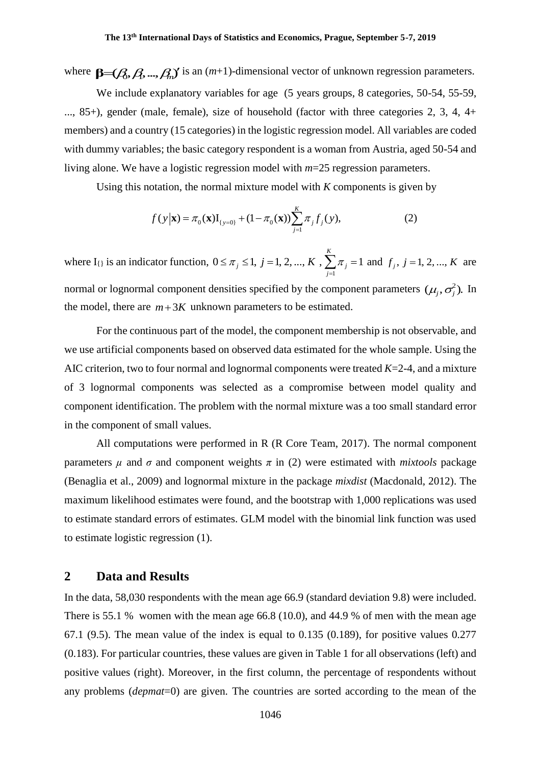where  $\mathbf{\beta} = (B, B, ..., B)$  is an  $(m+1)$ -dimensional vector of unknown regression parameters.

We include explanatory variables for age (5 years groups, 8 categories, 50-54, 55-59, ..., 85+), gender (male, female), size of household (factor with three categories 2, 3, 4, 4+ members) and a country (15 categories) in the logistic regression model. All variables are coded with dummy variables; the basic category respondent is a woman from Austria, aged 50-54 and living alone. We have a logistic regression model with *m*=25 regression parameters.

Using this notation, the normal mixture model with *K* components is given by

$$
f(y|\mathbf{x}) = \pi_0(\mathbf{x}) I_{\{y=0\}} + (1 - \pi_0(\mathbf{x})) \sum_{j=1}^{K} \pi_j f_j(y),
$$
 (2)

where  $I_{\{\}\}$  is an indicator function, 1  $0 \leq \pi$ ,  $\leq 1$ ,  $j = 1, 2, ..., K$ ,  $\sum \pi$ ,  $= 1$ *K*  $j = 1, j = 1, 2, ..., K$ ,  $\sum_i n_i$ *j*  $\pi_j \leq 1, j = 1, 2, ..., K, \sum_{i=1}^K \pi_i$  $\leq \pi_j \leq 1, j = 1, 2, ..., K$ ,  $\sum \pi_j = 1$  and  $f_j$ ,  $j = 1, 2, ..., K$  are normal or lognormal component densities specified by the component parameters  $(\mu_j, \sigma_j^2)$ . In the model, there are  $m+3K$  unknown parameters to be estimated.

For the continuous part of the model, the component membership is not observable, and we use artificial components based on observed data estimated for the whole sample. Using the AIC criterion, two to four normal and lognormal components were treated *K*=2-4, and a mixture of 3 lognormal components was selected as a compromise between model quality and component identification. The problem with the normal mixture was a too small standard error in the component of small values.

All computations were performed in R (R Core Team, 2017). The normal component parameters  $\mu$  and  $\sigma$  and component weights  $\pi$  in (2) were estimated with *mixtools* package (Benaglia et al., 2009) and lognormal mixture in the package *mixdist* (Macdonald, 2012). The maximum likelihood estimates were found, and the bootstrap with 1,000 replications was used to estimate standard errors of estimates. GLM model with the binomial link function was used to estimate logistic regression (1).

## **2 Data and Results**

In the data, 58,030 respondents with the mean age 66.9 (standard deviation 9.8) were included. There is 55.1 % women with the mean age 66.8 (10.0), and 44.9 % of men with the mean age 67.1 (9.5). The mean value of the index is equal to 0.135 (0.189), for positive values 0.277 (0.183). For particular countries, these values are given in Table 1 for all observations (left) and positive values (right). Moreover, in the first column, the percentage of respondents without any problems (*depmat*=0) are given. The countries are sorted according to the mean of the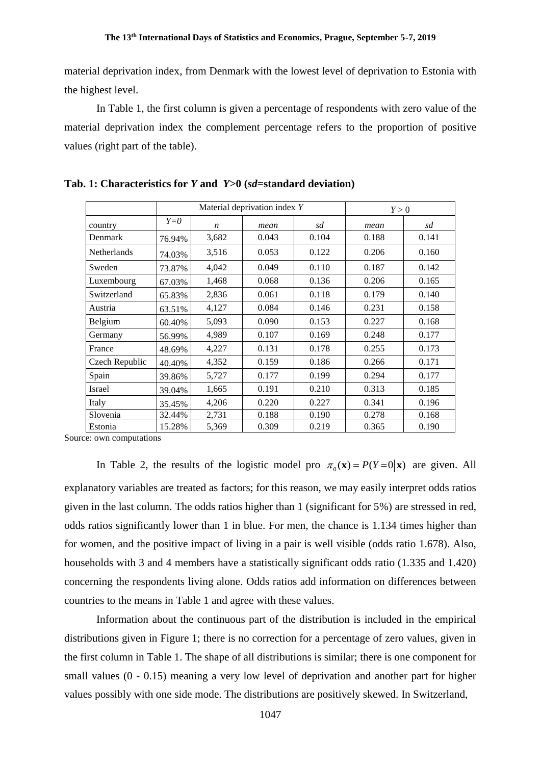material deprivation index, from Denmark with the lowest level of deprivation to Estonia with the highest level.

In Table 1, the first column is given a percentage of respondents with zero value of the material deprivation index the complement percentage refers to the proportion of positive values (right part of the table).

|                    |        | Material deprivation index Y |       |       | Y > 0 |       |
|--------------------|--------|------------------------------|-------|-------|-------|-------|
| country            | $Y=0$  | $\boldsymbol{n}$             | mean  | sd    | mean  | sd    |
| Denmark            | 76.94% | 3,682                        | 0.043 | 0.104 | 0.188 | 0.141 |
| <b>Netherlands</b> | 74.03% | 3,516                        | 0.053 | 0.122 | 0.206 | 0.160 |
| Sweden             | 73.87% | 4,042                        | 0.049 | 0.110 | 0.187 | 0.142 |
| Luxembourg         | 67.03% | 1,468                        | 0.068 | 0.136 | 0.206 | 0.165 |
| Switzerland        | 65.83% | 2,836                        | 0.061 | 0.118 | 0.179 | 0.140 |
| Austria            | 63.51% | 4,127                        | 0.084 | 0.146 | 0.231 | 0.158 |
| Belgium            | 60.40% | 5,093                        | 0.090 | 0.153 | 0.227 | 0.168 |
| Germany            | 56.99% | 4,989                        | 0.107 | 0.169 | 0.248 | 0.177 |
| France             | 48.69% | 4,227                        | 0.131 | 0.178 | 0.255 | 0.173 |
| Czech Republic     | 40.40% | 4,352                        | 0.159 | 0.186 | 0.266 | 0.171 |
| Spain              | 39.86% | 5,727                        | 0.177 | 0.199 | 0.294 | 0.177 |
| Israel             | 39.04% | 1,665                        | 0.191 | 0.210 | 0.313 | 0.185 |
| Italy              | 35.45% | 4,206                        | 0.220 | 0.227 | 0.341 | 0.196 |
| Slovenia           | 32.44% | 2,731                        | 0.188 | 0.190 | 0.278 | 0.168 |
| Estonia            | 15.28% | 5,369                        | 0.309 | 0.219 | 0.365 | 0.190 |

**Tab. 1: Characteristics for** *Y* **and** *Y***>0 (***sd***=standard deviation)**

Source: own computations

In Table 2, the results of the logistic model pro  $\pi_0(\mathbf{x}) = P(Y=0|\mathbf{x})$  are given. All explanatory variables are treated as factors; for this reason, we may easily interpret odds ratios given in the last column. The odds ratios higher than 1 (significant for 5%) are stressed in red, odds ratios significantly lower than 1 in blue. For men, the chance is 1.134 times higher than for women, and the positive impact of living in a pair is well visible (odds ratio 1.678). Also, households with 3 and 4 members have a statistically significant odds ratio (1.335 and 1.420) concerning the respondents living alone. Odds ratios add information on differences between countries to the means in Table 1 and agree with these values.

Information about the continuous part of the distribution is included in the empirical distributions given in Figure 1; there is no correction for a percentage of zero values, given in the first column in Table 1. The shape of all distributions is similar; there is one component for small values (0 - 0.15) meaning a very low level of deprivation and another part for higher values possibly with one side mode. The distributions are positively skewed. In Switzerland,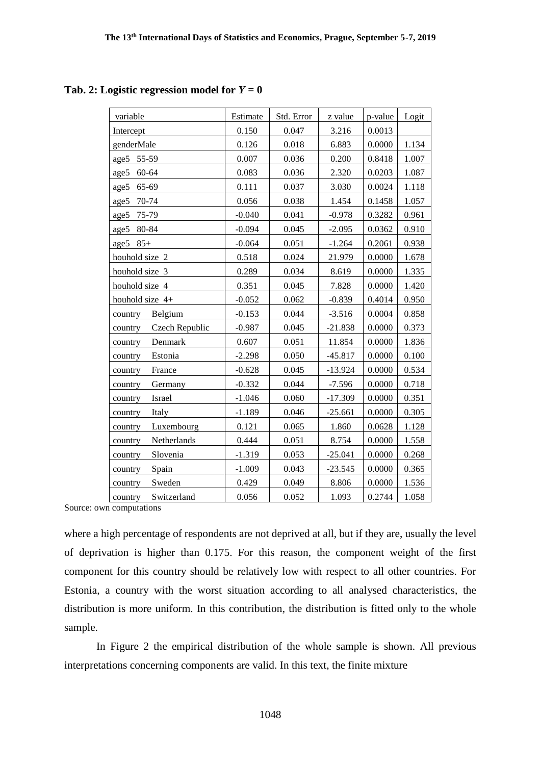## Tab. 2: Logistic regression model for  $Y = 0$

| variable                  | Estimate | Std. Error | z value   | p-value | Logit |
|---------------------------|----------|------------|-----------|---------|-------|
| Intercept                 | 0.150    | 0.047      | 3.216     | 0.0013  |       |
| genderMale                | 0.126    | 0.018      | 6.883     | 0.0000  | 1.134 |
| age5<br>55-59             | 0.007    | 0.036      | 0.200     | 0.8418  | 1.007 |
| age5<br>60-64             | 0.083    | 0.036      | 2.320     | 0.0203  | 1.087 |
| 65-69<br>age5             | 0.111    | 0.037      | 3.030     | 0.0024  | 1.118 |
| 70-74<br>age5             | 0.056    | 0.038      | 1.454     | 0.1458  | 1.057 |
| 75-79<br>age5             | $-0.040$ | 0.041      | $-0.978$  | 0.3282  | 0.961 |
| 80-84<br>age5             | $-0.094$ | 0.045      | $-2.095$  | 0.0362  | 0.910 |
| $85+$<br>age5             | $-0.064$ | 0.051      | $-1.264$  | 0.2061  | 0.938 |
| houhold size 2            | 0.518    | 0.024      | 21.979    | 0.0000  | 1.678 |
| houhold size 3            | 0.289    | 0.034      | 8.619     | 0.0000  | 1.335 |
| houhold size 4            | 0.351    | 0.045      | 7.828     | 0.0000  | 1.420 |
| houhold size 4+           | $-0.052$ | 0.062      | $-0.839$  | 0.4014  | 0.950 |
| Belgium<br>country        | $-0.153$ | 0.044      | $-3.516$  | 0.0004  | 0.858 |
| Czech Republic<br>country | $-0.987$ | 0.045      | $-21.838$ | 0.0000  | 0.373 |
| Denmark<br>country        | 0.607    | 0.051      | 11.854    | 0.0000  | 1.836 |
| Estonia<br>country        | $-2.298$ | 0.050      | $-45.817$ | 0.0000  | 0.100 |
| France<br>country         | $-0.628$ | 0.045      | $-13.924$ | 0.0000  | 0.534 |
| Germany<br>country        | $-0.332$ | 0.044      | $-7.596$  | 0.0000  | 0.718 |
| Israel<br>country         | $-1.046$ | 0.060      | $-17.309$ | 0.0000  | 0.351 |
| Italy<br>country          | $-1.189$ | 0.046      | $-25.661$ | 0.0000  | 0.305 |
| Luxembourg<br>country     | 0.121    | 0.065      | 1.860     | 0.0628  | 1.128 |
| Netherlands<br>country    | 0.444    | 0.051      | 8.754     | 0.0000  | 1.558 |
| Slovenia<br>country       | $-1.319$ | 0.053      | $-25.041$ | 0.0000  | 0.268 |
| Spain<br>country          | $-1.009$ | 0.043      | $-23.545$ | 0.0000  | 0.365 |
| Sweden<br>country         | 0.429    | 0.049      | 8.806     | 0.0000  | 1.536 |
| Switzerland<br>country    | 0.056    | 0.052      | 1.093     | 0.2744  | 1.058 |

Source: own computations

where a high percentage of respondents are not deprived at all, but if they are, usually the level of deprivation is higher than 0.175. For this reason, the component weight of the first component for this country should be relatively low with respect to all other countries. For Estonia, a country with the worst situation according to all analysed characteristics, the distribution is more uniform. In this contribution, the distribution is fitted only to the whole sample.

In Figure 2 the empirical distribution of the whole sample is shown. All previous interpretations concerning components are valid. In this text, the finite mixture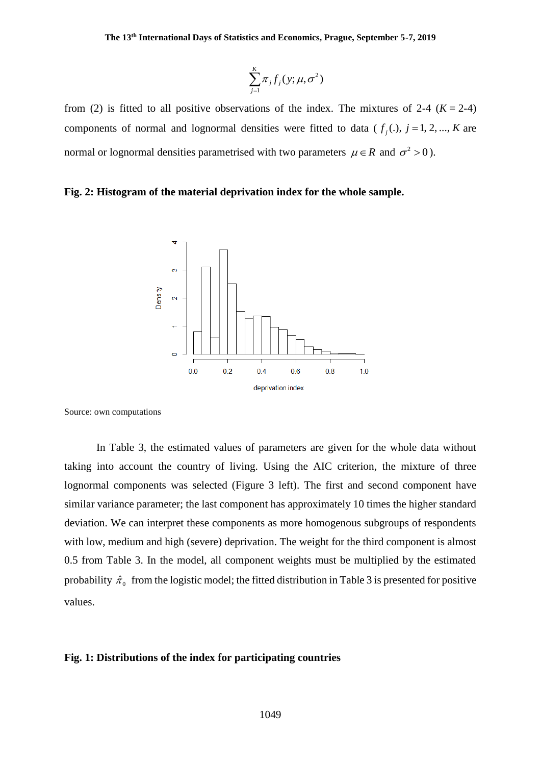$$
\sum_{j=1}^K \pi_j f_j(y; \mu, \sigma^2)
$$

from (2) is fitted to all positive observations of the index. The mixtures of 2-4  $(K = 2-4)$ components of normal and lognormal densities were fitted to data ( $f_j(.)$ ,  $j = 1, 2, ..., K$  are normal or lognormal densities parametrised with two parameters  $\mu \in R$  and  $\sigma^2 > 0$ ).

#### **Fig. 2: Histogram of the material deprivation index for the whole sample.**



Source: own computations

In Table 3, the estimated values of parameters are given for the whole data without taking into account the country of living. Using the AIC criterion, the mixture of three lognormal components was selected (Figure 3 left). The first and second component have similar variance parameter; the last component has approximately 10 times the higher standard deviation. We can interpret these components as more homogenous subgroups of respondents with low, medium and high (severe) deprivation. The weight for the third component is almost 0.5 from Table 3. In the model, all component weights must be multiplied by the estimated probability  $\hat{\pi}_0$  from the logistic model; the fitted distribution in Table 3 is presented for positive values.

#### **Fig. 1: Distributions of the index for participating countries**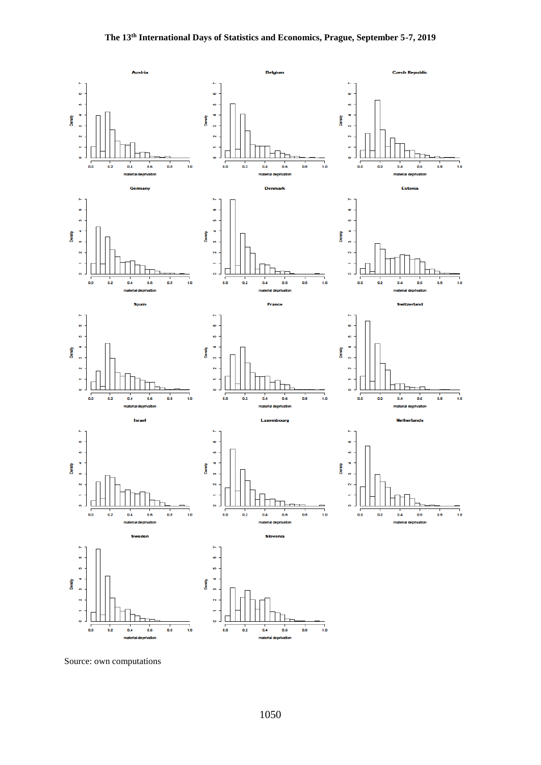

Source: own computations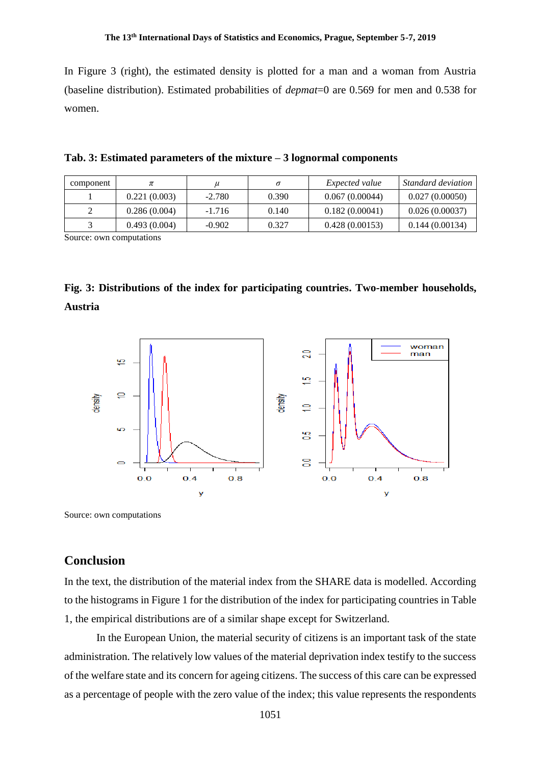In Figure 3 (right), the estimated density is plotted for a man and a woman from Austria (baseline distribution). Estimated probabilities of *depmat*=0 are 0.569 for men and 0.538 for women.

| Tab. 3: Estimated parameters of the mixture - 3 lognormal components |  |  |
|----------------------------------------------------------------------|--|--|
|----------------------------------------------------------------------|--|--|

| component |              |          |       | <i>Expected value</i> | Standard deviation |
|-----------|--------------|----------|-------|-----------------------|--------------------|
|           | 0.221(0.003) | $-2.780$ | 0.390 | 0.067(0.00044)        | 0.027(0.00050)     |
|           | 0.286(0.004) | $-1.716$ | 0.140 | 0.182(0.00041)        | 0.026(0.00037)     |
|           | 0.493(0.004) | $-0.902$ | 0.327 | 0.428(0.00153)        | 0.144(0.00134)     |

Source: own computations

**Fig. 3: Distributions of the index for participating countries. Two-member households, Austria**



Source: own computations

# **Conclusion**

In the text, the distribution of the material index from the SHARE data is modelled. According to the histograms in Figure 1 for the distribution of the index for participating countries in Table 1, the empirical distributions are of a similar shape except for Switzerland.

In the European Union, the material security of citizens is an important task of the state administration. The relatively low values of the material deprivation index testify to the success of the welfare state and its concern for ageing citizens. The success of this care can be expressed as a percentage of people with the zero value of the index; this value represents the respondents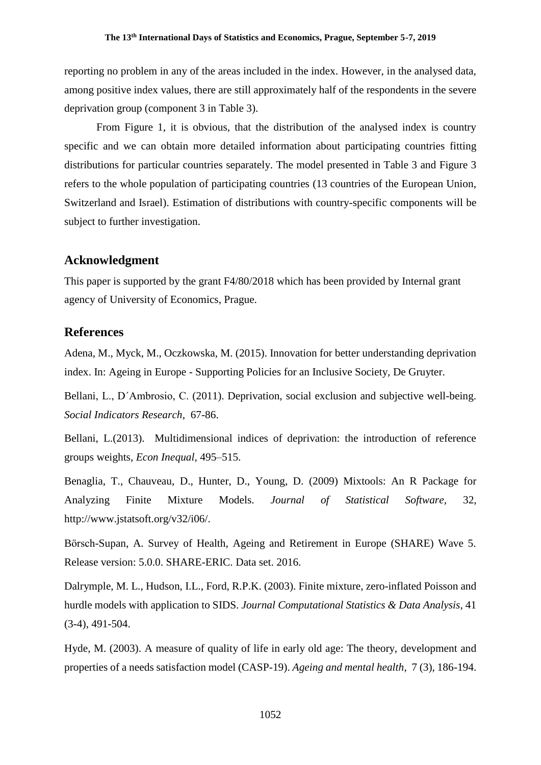reporting no problem in any of the areas included in the index. However, in the analysed data, among positive index values, there are still approximately half of the respondents in the severe deprivation group (component 3 in Table 3).

From Figure 1, it is obvious, that the distribution of the analysed index is country specific and we can obtain more detailed information about participating countries fitting distributions for particular countries separately. The model presented in Table 3 and Figure 3 refers to the whole population of participating countries (13 countries of the European Union, Switzerland and Israel). Estimation of distributions with country-specific components will be subject to further investigation.

## **Acknowledgment**

This paper is supported by the grant F4/80/2018 which has been provided by Internal grant agency of University of Economics, Prague.

## **References**

Adena, M., Myck, M., Oczkowska, M. (2015). Innovation for better understanding deprivation index. In: Ageing in Europe - Supporting Policies for an Inclusive Society, De Gruyter.

Bellani, L., D´Ambrosio, C. (2011). Deprivation, social exclusion and subjective well-being. *Social Indicators Research*, 67-86.

Bellani, L.(2013). Multidimensional indices of deprivation: the introduction of reference groups weights, *Econ Inequal*, 495–515.

Benaglia, T., Chauveau, D., Hunter, D., Young, D. (2009) Mixtools: An R Package for Analyzing Finite Mixture Models. *Journal of Statistical Software*, 32, http://www.jstatsoft.org/v32/i06/.

Börsch-Supan, A. Survey of Health, Ageing and Retirement in Europe (SHARE) Wave 5. Release version: 5.0.0. SHARE-ERIC. Data set. 2016.

Dalrymple, M. L., Hudson, I.L., Ford, R.P.K. (2003). Finite mixture, zero-inflated Poisson and hurdle models with application to SIDS. *Journal Computational Statistics & Data Analysis*, 41 (3-4), 491-504.

Hyde, M. (2003). A measure of quality of life in early old age: The theory, development and properties of a needs satisfaction model (CASP-19). *Ageing and mental health*, 7 (3), 186-194.